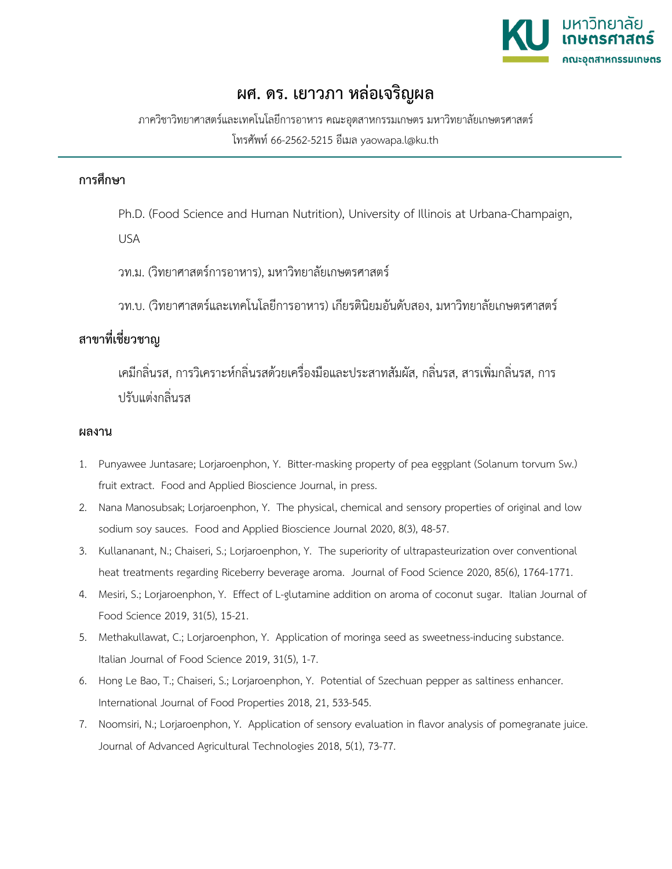

## **ผศ. ดร. เยาวภา หลอเจริญผล**

ภาควิชาวิทยาศาสตรและเทคโนโลยีการอาหาร คณะอุตสาหกรรมเกษตร มหาวิทยาลัยเกษตรศาสตร โทรศัพท 66-2562-5215 อีเมล yaowapa.l@ku.th

## **การศึกษา**

Ph.D. (Food Science and Human Nutrition), University of Illinois at Urbana-Champaign,

USA

วท.ม. (วิทยาศาสตรการอาหาร), มหาวิทยาลัยเกษตรศาสตร

วท.บ. (วิทยาศาสตรและเทคโนโลยีการอาหาร) เกียรตินิยมอันดับสอง, มหาวิทยาลัยเกษตรศาสตร

## **สาขาที่เชี่ยวชาญ**

เคมีกลิ่นรส, การวิเคราะหกลิ่นรสดวยเครื่องมือและประสาทสัมผัส, กลิ่นรส, สารเพิ่มกลิ่นรส, การ ปรับแตงกลิ่นรส

## **ผลงาน**

- 1. Punyawee Juntasare; Lorjaroenphon, Y. Bitter-masking property of pea eggplant (Solanum torvum Sw.) fruit extract. Food and Applied Bioscience Journal, in press.
- 2. Nana Manosubsak; Lorjaroenphon, Y. The physical, chemical and sensory properties of original and low sodium soy sauces. Food and Applied Bioscience Journal 2020, 8(3), 48-57.
- 3. Kullananant, N.; Chaiseri, S.; Lorjaroenphon, Y. The superiority of ultrapasteurization over conventional heat treatments regarding Riceberry beverage aroma. Journal of Food Science 2020, 85(6), 1764-1771.
- 4. Mesiri, S.; Lorjaroenphon, Y. Effect of L-glutamine addition on aroma of coconut sugar. Italian Journal of Food Science 2019, 31(5), 15-21.
- 5. Methakullawat, C.; Lorjaroenphon, Y. Application of moringa seed as sweetness-inducing substance. Italian Journal of Food Science 2019, 31(5), 1-7.
- 6. Hong Le Bao, T.; Chaiseri, S.; Lorjaroenphon, Y. Potential of Szechuan pepper as saltiness enhancer. International Journal of Food Properties 2018, 21, 533-545.
- 7. Noomsiri, N.; Lorjaroenphon, Y. Application of sensory evaluation in flavor analysis of pomegranate juice. Journal of Advanced Agricultural Technologies 2018, 5(1), 73-77.